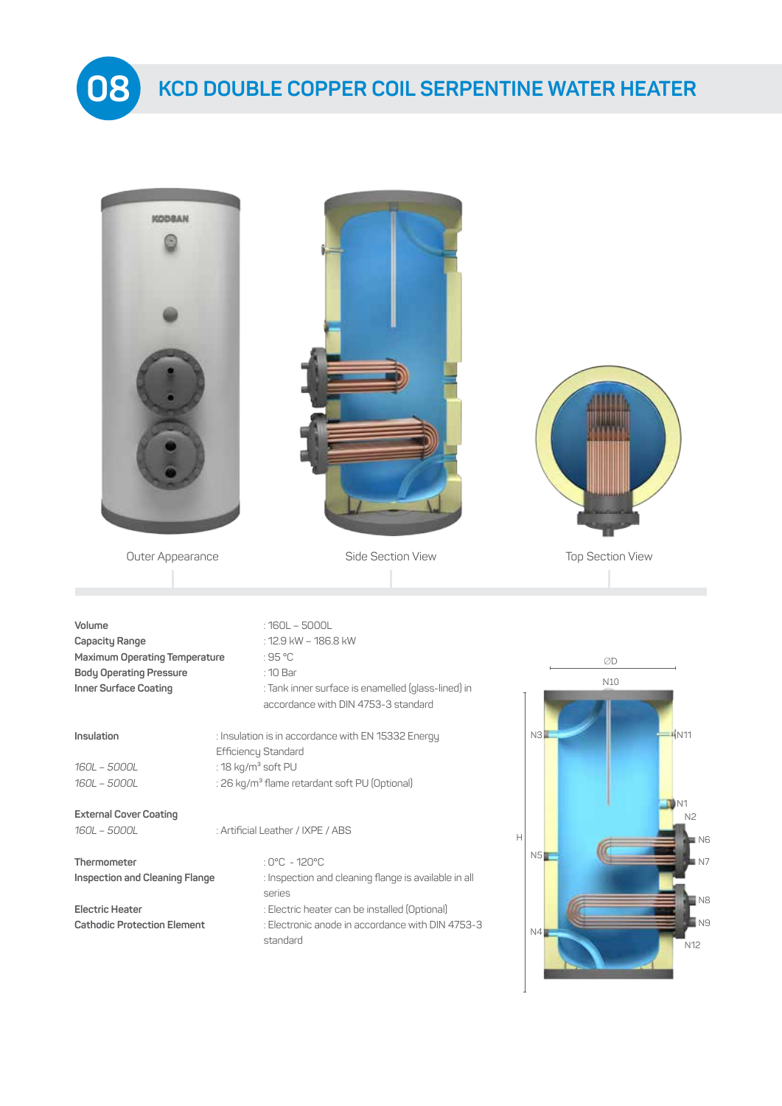

| <b>KODBAN</b>                                                                                                        |                                                                                                                                                                                                           |                                                 |
|----------------------------------------------------------------------------------------------------------------------|-----------------------------------------------------------------------------------------------------------------------------------------------------------------------------------------------------------|-------------------------------------------------|
| Outer Appearance                                                                                                     | Side Section View                                                                                                                                                                                         | <b>Top Section View</b>                         |
|                                                                                                                      |                                                                                                                                                                                                           |                                                 |
| Volume<br>Capacity Range<br>Maximum Operating Temperature<br><b>Body Operating Pressure</b><br>Inner Surface Coating | $:160L - 5000L$<br>: 12.9 kW - 186.8 kW<br>:95 °C<br>: 10 Bar<br>: Tank inner surface is enamelled (glass-lined) in<br>accordance with DIN 4753-3 standard                                                | ØD<br>N10                                       |
| Insulation<br>160L - 5000L<br>160L - 5000L                                                                           | : Insulation is in accordance with EN 15332 Energy<br>Efficiency Standard<br>: 18 $kg/m3$ soft PU<br>: 26 kg/m <sup>3</sup> flame retardant soft PU (Optional)                                            | $+$ N11<br>N3                                   |
| <b>External Cover Coating</b><br>160L - 5000L                                                                        | : Artificial Leather / IXPE / ABS                                                                                                                                                                         | N <sub>2</sub><br>$\mathbb H$<br>N <sub>6</sub> |
| Thermometer<br><b>Inspection and Cleaning Flange</b><br>Electric Heater<br><b>Cathodic Protection Element</b>        | : $0^{\circ}$ C - 120 $^{\circ}$ C<br>: Inspection and cleaning flange is available in all<br>series<br>: Electric heater can be installed (Optional)<br>: Electronic anode in accordance with DIN 4753-3 | NS<br>N <sub>8</sub><br>N <sub>9</sub>          |
|                                                                                                                      | standard                                                                                                                                                                                                  | N4<br>N12                                       |